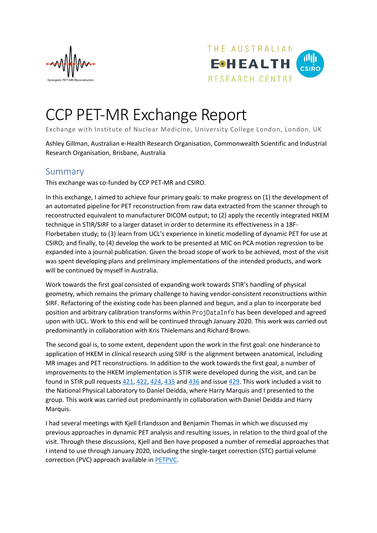



## CCP PET-MR Exchange Report

Exchange with Institute of Nuclear Medicine, University College London, London, UK

Ashley Gillman, Australian e-Health Research Organisation, Commonwealth Scientific and Industrial Research Organisation, Brisbane, Australia

## Summary

This exchange was co-funded by CCP PET-MR and CSIRO.

In this exchange, I aimed to achieve four primary goals: to make progress on (1) the development of an automated pipeline for PET reconstruction from raw data extracted from the scanner through to reconstructed equivalent to manufacturer DICOM output; to (2) apply the recently integrated HKEM technique in STIR/SIRF to a larger dataset in order to determine its effectiveness in a 18F-Florbetaben study; to (3) learn from UCL's experience in kinetic modelling of dynamic PET for use at CSIRO; and finally, to (4) develop the work to be presented at MIC on PCA motion regression to be expanded into a journal publication. Given the broad scope of work to be achieved, most of the visit was spent developing plans and preliminary implementations of the intended products, and work will be continued by myself in Australia.

Work towards the first goal consisted of expanding work towards STIR's handling of physical geometry, which remains the primary challenge to having vendor-consistent reconstructions within SIRF. Refactoring of the existing code has been planned and begun, and a plan to incorporate bed position and arbitrary calibration transforms within ProjDataInfo has been developed and agreed upon with UCL. Work to this end will be continued through January 2020. This work was carried out predominantly in collaboration with Kris Thielemans and Richard Brown.

The second goal is, to some extent, dependent upon the work in the first goal: one hinderance to application of HKEM in clinical research using SIRF is the alignment between anatomical, including MR images and PET reconstructions. In addition to the work towards the first goal, a number of improvements to the HKEM implementation is STIR were developed during the visit, and can be found in STIR pull request[s 421,](https://github.com/UCL/STIR/pull/421) [422,](https://github.com/UCL/STIR/pull/422) [424,](https://github.com/UCL/STIR/pull/424) [435](https://github.com/UCL/STIR/pull/435) and [436](https://github.com/UCL/STIR/pull/436) and issue [429.](https://github.com/UCL/STIR/issues/429) This work included a visit to the National Physical Laboratory to Daniel Deidda, where Harry Marquis and I presented to the group. This work was carried out predominantly in collaboration with Daniel Deidda and Harry Marquis.

I had several meetings with Kjell Erlandsson and Benjamin Thomas in which we discussed my previous approaches in dynamic PET analysis and resulting issues, in relation to the third goal of the visit. Through these discussions, Kjell and Ben have proposed a number of remedial approaches that I intend to use through January 2020, including the single-target correction (STC) partial volume correction (PVC) approach available in [PETPVC.](https://github.com/UCL/PETPVC)